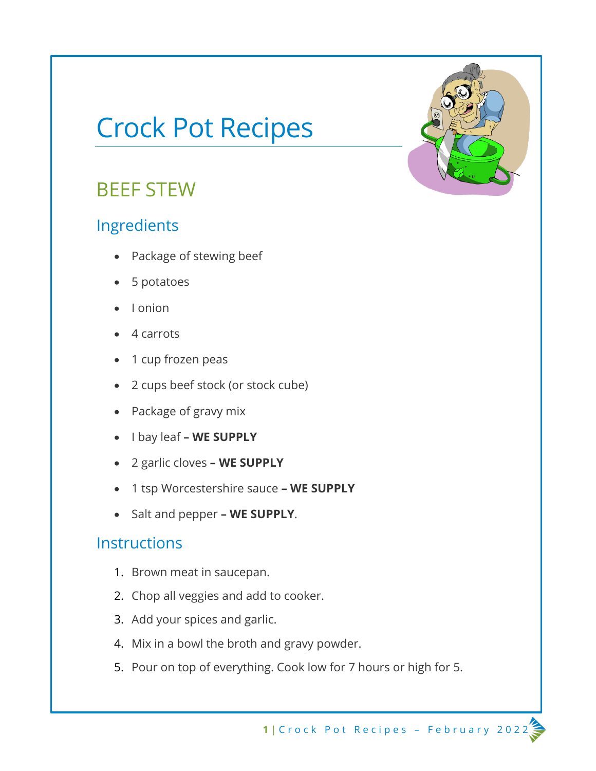# Crock Pot Recipes

# BEEF STEW

### Ingredients

- Package of stewing beef
- 5 potatoes
- I onion
- 4 carrots
- 1 cup frozen peas
- 2 cups beef stock (or stock cube)
- Package of gravy mix
- I bay leaf **– WE SUPPLY**
- 2 garlic cloves **– WE SUPPLY**
- 1 tsp Worcestershire sauce **– WE SUPPLY**
- Salt and pepper **– WE SUPPLY**.

#### **Instructions**

- 1. Brown meat in saucepan.
- 2. Chop all veggies and add to cooker.
- 3. Add your spices and garlic.
- 4. Mix in a bowl the broth and gravy powder.
- 5. Pour on top of everything. Cook low for 7 hours or high for 5.

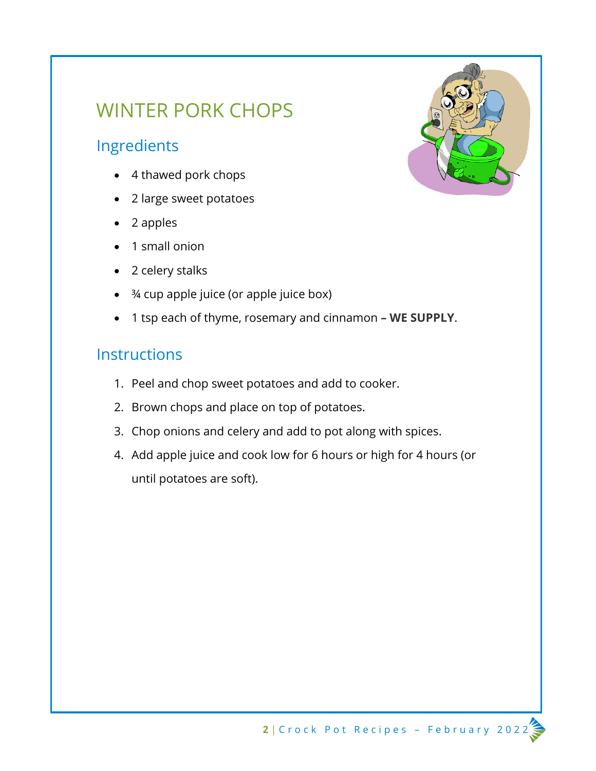# WINTER PORK CHOPS

### Ingredients

- 4 thawed pork chops
- 2 large sweet potatoes
- 2 apples
- 1 small onion
- 2 celery stalks
- ¾ cup apple juice (or apple juice box)
- 1 tsp each of thyme, rosemary and cinnamon **– WE SUPPLY**.

#### **Instructions**

- 1. Peel and chop sweet potatoes and add to cooker.
- 2. Brown chops and place on top of potatoes.
- 3. Chop onions and celery and add to pot along with spices.
- 4. Add apple juice and cook low for 6 hours or high for 4 hours (or until potatoes are soft).

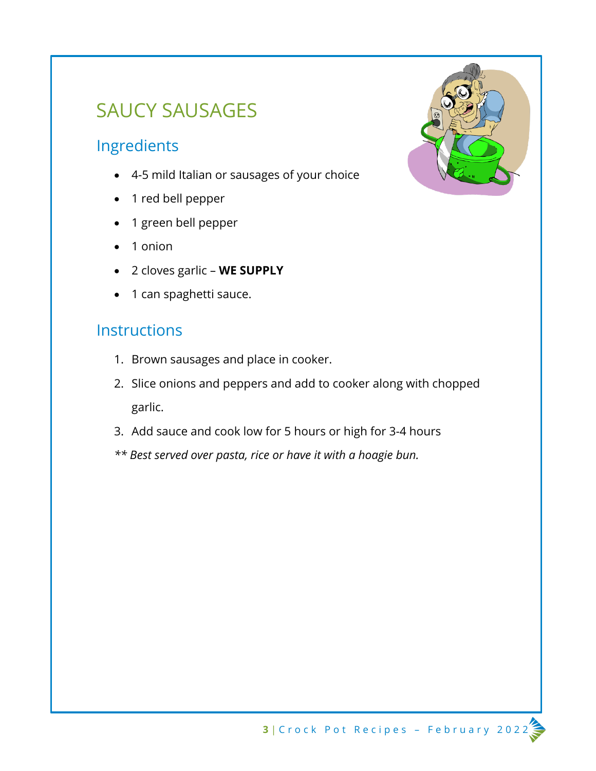# SAUCY SAUSAGES

### Ingredients

- 4-5 mild Italian or sausages of your choice
- 1 red bell pepper
- 1 green bell pepper
- 1 onion
- 2 cloves garlic **WE SUPPLY**
- 1 can spaghetti sauce.

#### **Instructions**

- 1. Brown sausages and place in cooker.
- 2. Slice onions and peppers and add to cooker along with chopped garlic.
- 3. Add sauce and cook low for 5 hours or high for 3-4 hours
- *\*\* Best served over pasta, rice or have it with a hoagie bun.*